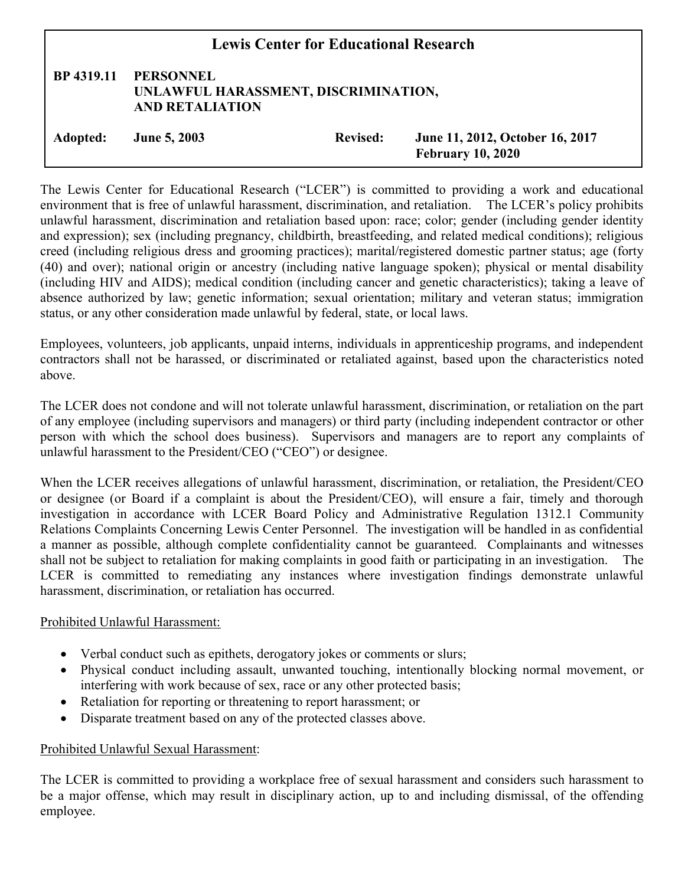| <b>Lewis Center for Educational Research</b> |                                                                                    |                 |                                                             |
|----------------------------------------------|------------------------------------------------------------------------------------|-----------------|-------------------------------------------------------------|
| BP 4319.11                                   | <b>PERSONNEL</b><br>UNLAWFUL HARASSMENT, DISCRIMINATION,<br><b>AND RETALIATION</b> |                 |                                                             |
| Adopted:                                     | <b>June 5, 2003</b>                                                                | <b>Revised:</b> | June 11, 2012, October 16, 2017<br><b>February 10, 2020</b> |

The Lewis Center for Educational Research ("LCER") is committed to providing a work and educational environment that is free of unlawful harassment, discrimination, and retaliation. The LCER's policy prohibits unlawful harassment, discrimination and retaliation based upon: race; color; gender (including gender identity and expression); sex (including pregnancy, childbirth, breastfeeding, and related medical conditions); religious creed (including religious dress and grooming practices); marital/registered domestic partner status; age (forty (40) and over); national origin or ancestry (including native language spoken); physical or mental disability (including HIV and AIDS); medical condition (including cancer and genetic characteristics); taking a leave of absence authorized by law; genetic information; sexual orientation; military and veteran status; immigration status, or any other consideration made unlawful by federal, state, or local laws.

Employees, volunteers, job applicants, unpaid interns, individuals in apprenticeship programs, and independent contractors shall not be harassed, or discriminated or retaliated against, based upon the characteristics noted above.

The LCER does not condone and will not tolerate unlawful harassment, discrimination, or retaliation on the part of any employee (including supervisors and managers) or third party (including independent contractor or other person with which the school does business). Supervisors and managers are to report any complaints of unlawful harassment to the President/CEO ("CEO") or designee.

When the LCER receives allegations of unlawful harassment, discrimination, or retaliation, the President/CEO or designee (or Board if a complaint is about the President/CEO), will ensure a fair, timely and thorough investigation in accordance with LCER Board Policy and Administrative Regulation 1312.1 Community Relations Complaints Concerning Lewis Center Personnel. The investigation will be handled in as confidential a manner as possible, although complete confidentiality cannot be guaranteed. Complainants and witnesses shall not be subject to retaliation for making complaints in good faith or participating in an investigation. The LCER is committed to remediating any instances where investigation findings demonstrate unlawful harassment, discrimination, or retaliation has occurred.

## Prohibited Unlawful Harassment:

- Verbal conduct such as epithets, derogatory jokes or comments or slurs;
- Physical conduct including assault, unwanted touching, intentionally blocking normal movement, or interfering with work because of sex, race or any other protected basis;
- Retaliation for reporting or threatening to report harassment; or
- Disparate treatment based on any of the protected classes above.

## Prohibited Unlawful Sexual Harassment:

The LCER is committed to providing a workplace free of sexual harassment and considers such harassment to be a major offense, which may result in disciplinary action, up to and including dismissal, of the offending employee.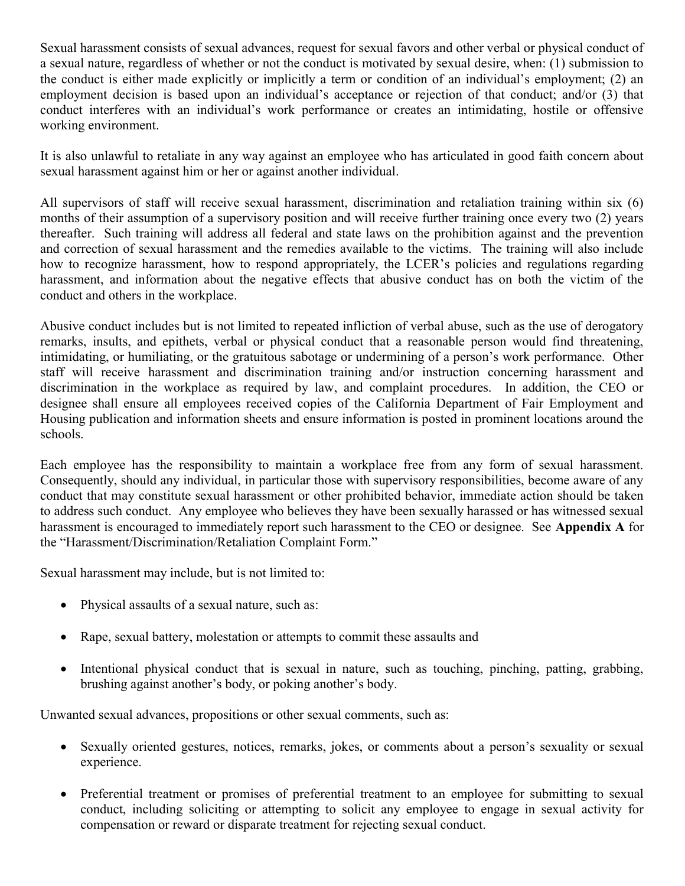Sexual harassment consists of sexual advances, request for sexual favors and other verbal or physical conduct of a sexual nature, regardless of whether or not the conduct is motivated by sexual desire, when: (1) submission to the conduct is either made explicitly or implicitly a term or condition of an individual's employment; (2) an employment decision is based upon an individual's acceptance or rejection of that conduct; and/or (3) that conduct interferes with an individual's work performance or creates an intimidating, hostile or offensive working environment.

It is also unlawful to retaliate in any way against an employee who has articulated in good faith concern about sexual harassment against him or her or against another individual.

All supervisors of staff will receive sexual harassment, discrimination and retaliation training within six (6) months of their assumption of a supervisory position and will receive further training once every two (2) years thereafter. Such training will address all federal and state laws on the prohibition against and the prevention and correction of sexual harassment and the remedies available to the victims. The training will also include how to recognize harassment, how to respond appropriately, the LCER's policies and regulations regarding harassment, and information about the negative effects that abusive conduct has on both the victim of the conduct and others in the workplace.

Abusive conduct includes but is not limited to repeated infliction of verbal abuse, such as the use of derogatory remarks, insults, and epithets, verbal or physical conduct that a reasonable person would find threatening, intimidating, or humiliating, or the gratuitous sabotage or undermining of a person's work performance. Other staff will receive harassment and discrimination training and/or instruction concerning harassment and discrimination in the workplace as required by law, and complaint procedures. In addition, the CEO or designee shall ensure all employees received copies of the California Department of Fair Employment and Housing publication and information sheets and ensure information is posted in prominent locations around the schools.

Each employee has the responsibility to maintain a workplace free from any form of sexual harassment. Consequently, should any individual, in particular those with supervisory responsibilities, become aware of any conduct that may constitute sexual harassment or other prohibited behavior, immediate action should be taken to address such conduct. Any employee who believes they have been sexually harassed or has witnessed sexual harassment is encouraged to immediately report such harassment to the CEO or designee. See Appendix A for the "Harassment/Discrimination/Retaliation Complaint Form."

Sexual harassment may include, but is not limited to:

- Physical assaults of a sexual nature, such as:
- Rape, sexual battery, molestation or attempts to commit these assaults and
- Intentional physical conduct that is sexual in nature, such as touching, pinching, patting, grabbing, brushing against another's body, or poking another's body.

Unwanted sexual advances, propositions or other sexual comments, such as:

- Sexually oriented gestures, notices, remarks, jokes, or comments about a person's sexuality or sexual experience.
- Preferential treatment or promises of preferential treatment to an employee for submitting to sexual conduct, including soliciting or attempting to solicit any employee to engage in sexual activity for compensation or reward or disparate treatment for rejecting sexual conduct.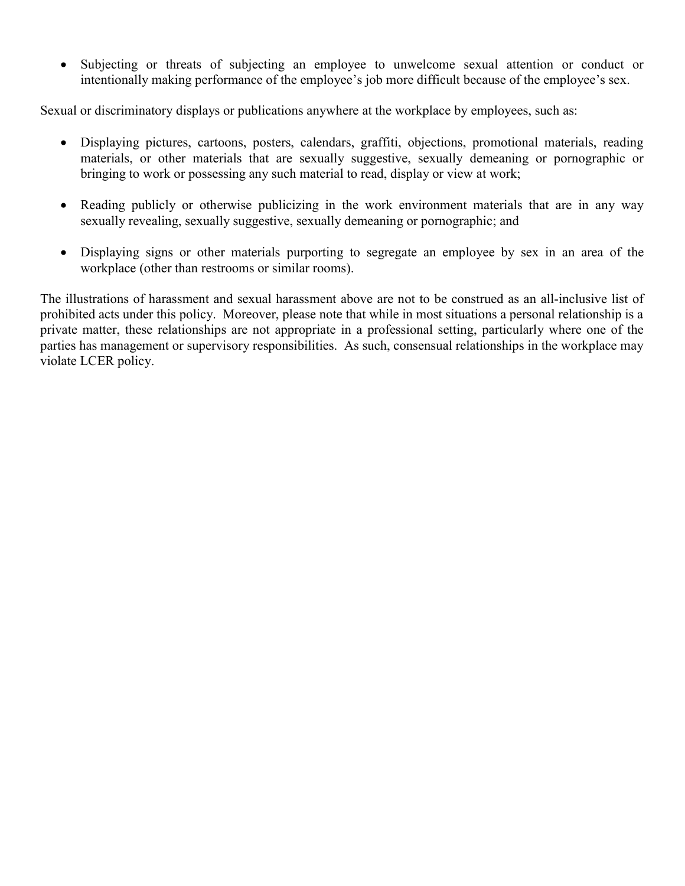Subjecting or threats of subjecting an employee to unwelcome sexual attention or conduct or intentionally making performance of the employee's job more difficult because of the employee's sex.

Sexual or discriminatory displays or publications anywhere at the workplace by employees, such as:

- Displaying pictures, cartoons, posters, calendars, graffiti, objections, promotional materials, reading materials, or other materials that are sexually suggestive, sexually demeaning or pornographic or bringing to work or possessing any such material to read, display or view at work;
- Reading publicly or otherwise publicizing in the work environment materials that are in any way sexually revealing, sexually suggestive, sexually demeaning or pornographic; and
- Displaying signs or other materials purporting to segregate an employee by sex in an area of the workplace (other than restrooms or similar rooms).

The illustrations of harassment and sexual harassment above are not to be construed as an all-inclusive list of prohibited acts under this policy. Moreover, please note that while in most situations a personal relationship is a private matter, these relationships are not appropriate in a professional setting, particularly where one of the parties has management or supervisory responsibilities. As such, consensual relationships in the workplace may violate LCER policy.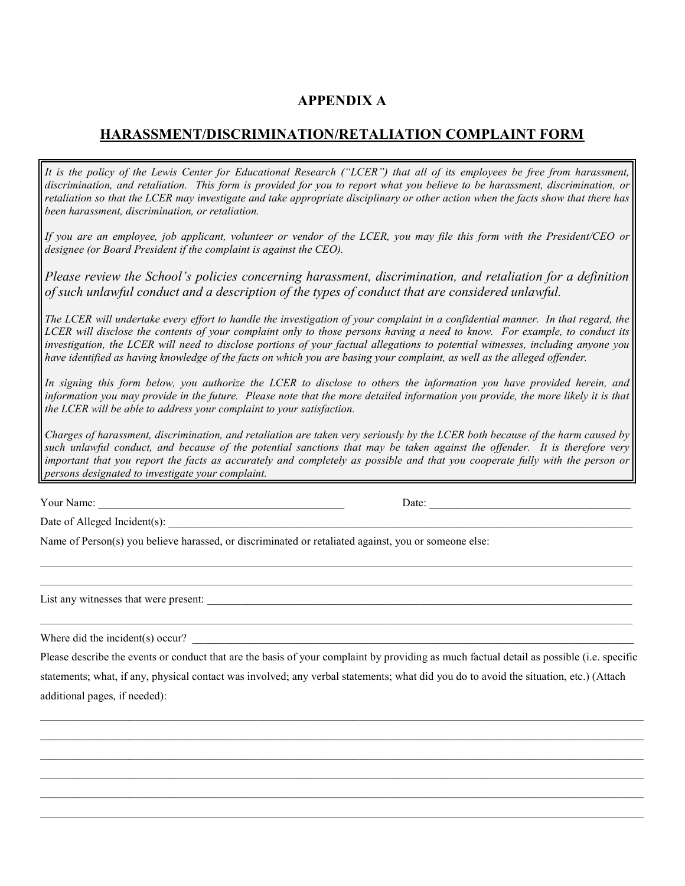## APPENDIX A

## HARASSMENT/DISCRIMINATION/RETALIATION COMPLAINT FORM

It is the policy of the Lewis Center for Educational Research ("LCER") that all of its employees be free from harassment, discrimination, and retaliation. This form is provided for you to report what you believe to be harassment, discrimination, or retaliation so that the LCER may investigate and take appropriate disciplinary or other action when the facts show that there has been harassment, discrimination, or retaliation.

If you are an employee, job applicant, volunteer or vendor of the LCER, you may file this form with the President/CEO or designee (or Board President if the complaint is against the CEO).

Please review the School's policies concerning harassment, discrimination, and retaliation for a definition of such unlawful conduct and a description of the types of conduct that are considered unlawful.

The LCER will undertake every effort to handle the investigation of your complaint in a confidential manner. In that regard, the LCER will disclose the contents of your complaint only to those persons having a need to know. For example, to conduct its investigation, the LCER will need to disclose portions of your factual allegations to potential witnesses, including anyone you have identified as having knowledge of the facts on which you are basing your complaint, as well as the alleged offender.

In signing this form below, you authorize the LCER to disclose to others the information you have provided herein, and information you may provide in the future. Please note that the more detailed information you provide, the more likely it is that the LCER will be able to address your complaint to your satisfaction.

Charges of harassment, discrimination, and retaliation are taken very seriously by the LCER both because of the harm caused by such unlawful conduct, and because of the potential sanctions that may be taken against the offender. It is therefore very important that you report the facts as accurately and completely as possible and that you cooperate fully with the person or persons designated to investigate your complaint.

Your Name: \_\_\_\_\_\_\_\_\_\_\_\_\_\_\_\_\_\_\_\_\_\_\_\_\_\_\_\_\_\_\_\_\_\_\_\_\_\_\_\_\_\_\_\_ Date: \_\_\_\_\_\_\_\_\_\_\_\_\_\_\_\_\_\_\_\_\_\_\_\_\_\_\_\_\_\_\_\_\_\_\_\_

Date of Alleged Incident(s):

Name of Person(s) you believe harassed, or discriminated or retaliated against, you or someone else:

List any witnesses that were present:

Where did the incident(s) occur?

Please describe the events or conduct that are the basis of your complaint by providing as much factual detail as possible (i.e. specific statements; what, if any, physical contact was involved; any verbal statements; what did you do to avoid the situation, etc.) (Attach additional pages, if needed):

 $\mathcal{L}_\mathcal{L} = \mathcal{L}_\mathcal{L} = \mathcal{L}_\mathcal{L} = \mathcal{L}_\mathcal{L} = \mathcal{L}_\mathcal{L} = \mathcal{L}_\mathcal{L} = \mathcal{L}_\mathcal{L} = \mathcal{L}_\mathcal{L} = \mathcal{L}_\mathcal{L} = \mathcal{L}_\mathcal{L} = \mathcal{L}_\mathcal{L} = \mathcal{L}_\mathcal{L} = \mathcal{L}_\mathcal{L} = \mathcal{L}_\mathcal{L} = \mathcal{L}_\mathcal{L} = \mathcal{L}_\mathcal{L} = \mathcal{L}_\mathcal{L}$